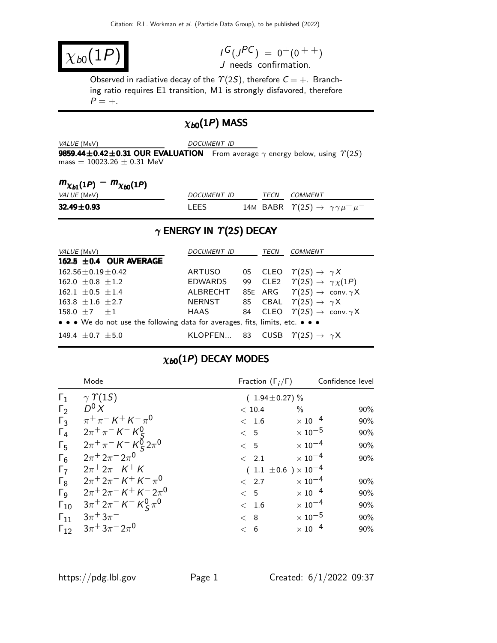$$
\chi_{b0}(1P)
$$

 $I^G(J^{PC}) = 0^+(0^{++})$ J needs confirmation.

Observed in radiative decay of the  $\Upsilon(2S)$ , therefore  $C = +$ . Branching ratio requires E1 transition, M1 is strongly disfavored, therefore  $P = +$ .

## $\chi_{b0}(1P)$  MASS

| <i>VALUE</i> (MeV)                                                                                                               | DOCUMENT ID |  |  |
|----------------------------------------------------------------------------------------------------------------------------------|-------------|--|--|
| <b>9859.44±0.42±0.31 OUR EVALUATION</b> From average $\gamma$ energy below, using $\gamma(2S)$<br>mass $= 10023.26 \pm 0.31$ MeV |             |  |  |

| $m_{\chi_{b1}(1P)} - m_{\chi_{b0}(1P)}$ |             |             |                                                               |
|-----------------------------------------|-------------|-------------|---------------------------------------------------------------|
| <i>VALUE</i> (MeV)                      | DOCUMENT ID | <b>TFCN</b> | COMMENT                                                       |
| $32.49 \pm 0.93$                        | I FFS       |             | 14M BABR $\Upsilon(2S) \rightarrow \gamma \gamma \mu^+ \mu^-$ |

# $\gamma$  ENERGY IN  $\Upsilon(2S)$  DECAY

| <i>VALUE</i> (MeV)                                                            | DOCUMENT ID                                         | TECN | <b>COMMENT</b>                                                 |
|-------------------------------------------------------------------------------|-----------------------------------------------------|------|----------------------------------------------------------------|
| 162.5 $\pm$ 0.4 OUR AVERAGE                                                   |                                                     |      |                                                                |
| $162.56 \pm 0.19 \pm 0.42$                                                    | ARTUSO                                              |      | 05 CLEO $\Upsilon(2S) \rightarrow \gamma X$                    |
| $162.0 \pm 0.8 \pm 1.2$                                                       | <b>EDWARDS</b>                                      |      | 99 CLE2 $\Upsilon(2S) \rightarrow \gamma \chi(1P)$             |
| $162.1 \pm 0.5 \pm 1.4$                                                       | ALBRECHT                                            |      | 85E ARG $\Upsilon(2S) \rightarrow \text{conv. } \gamma \times$ |
| $163.8 \pm 1.6 \pm 2.7$                                                       | NERNST                                              |      | 85 CBAL $\Upsilon(2S) \rightarrow \gamma X$                    |
| 158.0 $\pm 7$ $\pm 1$                                                         | HAAS                                                |      | 84 CLEO $\Upsilon(2S) \rightarrow \text{conv. } \gamma X$      |
| • • • We do not use the following data for averages, fits, limits, etc. • • • |                                                     |      |                                                                |
| 149.4 $\pm$ 0.7 $\pm$ 5.0                                                     | KLOPFEN 83 CUSB $\Upsilon(2S) \rightarrow \gamma X$ |      |                                                                |

# $\chi_{b0}(1P)$  DECAY MODES

|                       | Mode                                                              | Fraction $(\Gamma_i/\Gamma)$   | Confidence level                 |
|-----------------------|-------------------------------------------------------------------|--------------------------------|----------------------------------|
| $\Gamma_1$            | $\gamma \Upsilon(15)$                                             | $(1.94 \pm 0.27)\%$            |                                  |
| $\Gamma_2$            | $D^0 X$                                                           | < 10.4                         | $\%$<br>90%                      |
| $\Gamma_3$            | $\pi^{+}\pi^{-} K^{+} K^{-}\pi^{0}$                               | < 1.6                          | $\times$ 10 <sup>-4</sup><br>90% |
| $\Gamma_4$            | $2\pi^{+}\pi^{-} K^{-} K_{c}^{0}$                                 | < 5                            | $\times$ 10 <sup>-5</sup><br>90% |
| $\Gamma_5$            | $2\pi^+\pi^-$ K <sup>-</sup> K <sup>0</sup> <sub>5</sub> $2\pi^0$ | $\lt$ 5                        | $\times$ 10 <sup>-4</sup><br>90% |
| $\Gamma_6$            | $2\pi^+ 2\pi^- 2\pi^0$                                            | < 2.1                          | $\times$ 10 <sup>-4</sup><br>90% |
| $\Gamma_7$            | $2\pi + 2\pi - K + K$                                             | $(1.1 \pm 0.6) \times 10^{-4}$ |                                  |
| $\Gamma_8$            | $2\pi + 2\pi - K + K - \pi^0$                                     | < 2.7                          | $\times$ 10 <sup>-4</sup><br>90% |
| $\Gamma_{\mathsf{Q}}$ | $2\pi^+ 2\pi^- K^+ K^- 2\pi^0$                                    | $\lt$ 5                        | $\times$ 10 <sup>-4</sup><br>90% |
| $\Gamma_{10}$         | $3\pi^+ 2\pi^- K^- K^0_S \pi^0$                                   | < 1.6                          | $\times$ 10 <sup>-4</sup><br>90% |
| $\Gamma_{11}$         | $3\pi + 3\pi$                                                     | < 8                            | $\times$ 10 $^{-5}$<br>90%       |
| $\Gamma_{12}$         | $3\pi + 3\pi - 2\pi^0$                                            | < 6                            | $\times$ 10 <sup>-4</sup><br>90% |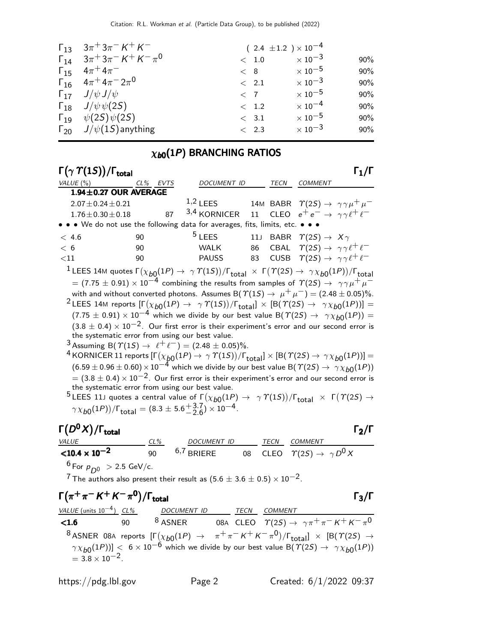| $\Gamma_{13}$ $3\pi$ <sup>+</sup> $3\pi$ <sup>-</sup> $K$ <sup>+</sup> $K$ <sup>-</sup>                    |               | $(2.4 \pm 1.2) \times 10^{-4}$ |     |
|------------------------------------------------------------------------------------------------------------|---------------|--------------------------------|-----|
| $\Gamma_{14}$ $3\pi$ <sup>+</sup> $3\pi$ <sup>-</sup> $K$ <sup>+</sup> $K$ <sup>-</sup> $\pi$ <sup>0</sup> | < 1.0         | $\times$ 10 <sup>-3</sup>      | 90% |
| $\Gamma_{15}$ $4\pi^{+}4\pi^{-}$                                                                           | < 8           | $\times$ 10 $^{-5}$            | 90% |
| $\Gamma_{16}$ $4\pi^+ 4\pi^- 2\pi^0$                                                                       | $\langle$ 2.1 | $\times$ 10 <sup>-3</sup>      | 90% |
| $\Gamma_{17}$ $J/\psi J/\psi$                                                                              | $<$ 7         | $\times$ 10 <sup>-5</sup>      | 90% |
| $\Gamma_{18}$ $J/\psi \psi(25)$                                                                            | $< 1.2$       | $\times$ 10 <sup>-4</sup>      | 90% |
| $\Gamma_{19}$ $\psi(2S)\psi(2S)$                                                                           | < 3.1         | $\times$ 10 <sup>-5</sup>      | 90% |
| $\Gamma_{20}$ $J/\psi(1S)$ anything                                                                        | < 2.3         | $\times$ 10 <sup>-3</sup>      | 90% |

### $\chi_{b0}(1P)$  BRANCHING RATIOS

| $\Gamma(\gamma \Upsilon(15))/\Gamma_{\text{total}}$                                                                                                                           |          |                    |      |                                                                | $\mathsf{\Gamma_1}/\mathsf{\Gamma}$ |
|-------------------------------------------------------------------------------------------------------------------------------------------------------------------------------|----------|--------------------|------|----------------------------------------------------------------|-------------------------------------|
| VALUE(%)                                                                                                                                                                      | CL% EVTS | <b>DOCUMENT ID</b> | TECN | <b>COMMENT</b>                                                 |                                     |
| $1.94 \pm 0.27$ OUR AVERAGE                                                                                                                                                   |          |                    |      |                                                                |                                     |
| $2.07 \pm 0.24 \pm 0.21$                                                                                                                                                      |          | $1,2$ LEES         |      | 14M BABR $\Upsilon(2S) \rightarrow \gamma \gamma \mu^+ \mu^-$  |                                     |
| $1.76 \pm 0.30 \pm 0.18$ 87                                                                                                                                                   |          | 3,4 KORNICER       |      | 11 CLEO $e^+e^- \rightarrow \gamma \gamma \ell^+ \ell^-$       |                                     |
| • • • We do not use the following data for averages, fits, limits, etc. • • •                                                                                                 |          |                    |      |                                                                |                                     |
| < 4.6                                                                                                                                                                         | 90       | $5$ LEES           |      | 11J BABR $\Upsilon(2S) \rightarrow X\gamma$                    |                                     |
| < 6                                                                                                                                                                           | 90       | WALK               |      | 86 CBAL $\Upsilon(2S) \rightarrow \gamma \gamma \ell^+ \ell^-$ |                                     |
| $<$ 11                                                                                                                                                                        | 90       | <b>PAUSS</b>       |      | 83 CUSB $\Upsilon(2S) \rightarrow \gamma \gamma \ell^+ \ell^-$ |                                     |
| <sup>1</sup> LEES 14M quotes $\Gamma(\chi_{b0}(1P) \to \gamma \Upsilon(1S))/\Gamma_{\text{total}} \times \Gamma(\Upsilon(2S) \to \gamma \chi_{b0}(1P))/\Gamma_{\text{total}}$ |          |                    |      |                                                                |                                     |
| $=$ (7.75 $\pm$ 0.91) $\times$ 10 <sup>-4</sup> combining the results from samples of $\Upsilon(2S) \rightarrow \gamma \gamma \mu^+ \mu^-$                                    |          |                    |      |                                                                |                                     |
| with and without converted photons. Assumes B( $\Upsilon(1S) \rightarrow \mu^+ \mu^-) = (2.48 \pm 0.05)\%$ .                                                                  |          |                    |      |                                                                |                                     |
| <sup>2</sup> LEES 14M reports $[\Gamma(\chi_{b0}(1P) \to \gamma \Upsilon(1S))/\Gamma_{\text{total}}] \times [B(\Upsilon(2S) \to \gamma \chi_{b0}(1P))] =$                     |          |                    |      |                                                                |                                     |
| $(7.75 \pm 0.91) \times 10^{-4}$ which we divide by our best value B( $\Upsilon(2S) \rightarrow \gamma \chi_{b0}(1P)$ ) =                                                     |          |                    |      |                                                                |                                     |
| $(3.8 \pm 0.4) \times 10^{-2}$ . Our first error is their experiment's error and our second error is                                                                          |          |                    |      |                                                                |                                     |
| the systematic error from using our best value.                                                                                                                               |          |                    |      |                                                                |                                     |
| <sup>3</sup> Assuming B( $\Upsilon(15) \rightarrow \ell^+ \ell^-$ ) = (2.48 ± 0.05)%.                                                                                         |          |                    |      |                                                                |                                     |
| <sup>4</sup> KORNICER 11 reports $[\Gamma(\chi_{b0}(1P) \to \gamma \Upsilon(1S))/\Gamma_{\text{total}}] \times [B(\Upsilon(2S) \to \gamma \chi_{b0}(1P))] =$                  |          |                    |      |                                                                |                                     |
| $(6.59 \pm 0.96 \pm 0.60) \times 10^{-4}$ which we divide by our best value B( $\Upsilon(2S) \rightarrow \gamma \chi_{b0}(1P)$ )                                              |          |                    |      |                                                                |                                     |
| $=$ (3.8 $\pm$ 0.4) $\times$ 10 <sup>-2</sup> . Our first error is their experiment's error and our second error is                                                           |          |                    |      |                                                                |                                     |

the systematic error from using our best value. <sup>5</sup>LEES 11J quotes a central value of  $\Gamma(\chi_{b0}(1P) \to \gamma \Upsilon(1S))/\Gamma_{\text{total}} \times \Gamma(\Upsilon(2S) \to \mathbb{R}$  $\gamma \chi_{b0}(1P)$ ) /  $\Gamma_{\text{total}} = (8.3 \pm 5.6 \frac{+3.7}{-2.6}) \times 10^{-4}$ .

### $\Gamma(D^0X)/\Gamma_{\rm total}$  [2  $(D<sup>0</sup>X)/\Gamma$ <sub>total</sub> Γ<sub>2</sub>/Γ VALUE CL% DOCUMENT ID TECN COMMENT  $<$ 10.4  $\times$  10<sup>-2</sup> 90  $6.7$  BRIERE 08 CLEO  $\varUpsilon(2S) \to\ \gamma\,D^0\,\overline{X}$  $6$  For  $p_{D^0} > 2.5$  GeV/c.

7 The authors also present their result as  $(5.6 \pm 3.6 \pm 0.5) \times 10^{-2}$ .

$$
\begin{array}{ll}\n\Gamma(\pi^+\pi^- K^+ K^-\pi^0)/\Gamma_{\text{total}} & \Gamma_3/\Gamma \\
\hline\n\text{VALUE (units 10}^{-4}) & \frac{CL\%}{90} & \frac{DOCUMENT \cdot ID}{8 \text{ ASNER}} & \frac{ICCN}{0.00} & \frac{COMMENT}{CLEO} \\
\hline\n& 8 \text{ ASNER} & 08 \text{ AC} \cdot \text{EEO} & \frac{COMMENT}{C(S)} \rightarrow \gamma \pi^+ \pi^- K^+ K^- \pi^0 \\
& 8 \text{ ASNER} & 08 \text{ AC} \cdot \text{AIO} & \frac{1}{2} \text{ AC} \cdot \text{AIO} \\
& \frac{1}{2} \text{ ASNER} & \frac{1}{2} \text{ AC} \cdot \text{AIO} \\
& \frac{1}{2} \text{ AC} \cdot \text{AIO} & \frac{1}{2} \text{ AC} \cdot \text{AIO} \\
& \frac{1}{2} \text{ AC} \cdot \text{AIO} & \frac{1}{2} \text{ AC} \cdot \text{AIO} \\
& \frac{1}{2} \text{ AC} \cdot \text{AIO} & \frac{1}{2} \text{ AC} \cdot \text{AIO} \\
& \frac{1}{2} \text{ AC} \cdot \text{AIO} & \frac{1}{2} \text{ AC} \cdot \text{AIO} \\
& \frac{1}{2} \text{ AC} \cdot \text{AIO} & \frac{1}{2} \text{ AC} \cdot \text{AIO} \\
& \frac{1}{2} \text{ AC} \cdot \text{AIO} & \frac{1}{2} \text{ AC} \cdot \text{AIO} \\
& \frac{1}{2} \text{ AC} \cdot \text{AIO} & \frac{1}{2} \text{ AC} \cdot \text{AIO} \\
& \frac{1}{2} \text{ AC} \cdot \text{AIO} & \frac{1}{2} \text{ AC} \cdot \text{AIO} \\
& \frac{1}{2} \text{ AC} \cdot \text{AIO} & \frac{1}{2} \text{ AC} \cdot \text{AIO} \\
& \frac{1}{2} \text{ AC} \cdot \text{AIO} & \frac{1}{2} \text{ AC} \cdot \text{AIO} \\
& \frac{1}{2} \text{ AC} \cdot \text{A
$$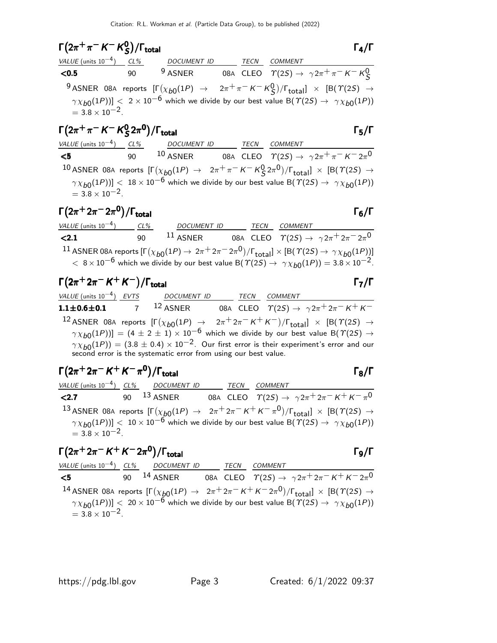### $\Gamma(2\pi^+\pi^- K^- K^0_S)$  $(2\pi^+\pi^-K^-K^0_S)/\Gamma_{\text{total}}$  Γ<sub>4</sub>/Γ  $\Gamma(2\pi^+\pi^- K^- K_S^0)/\Gamma_{\text{total}}$  Γ<sub>4</sub>/Γ

| $1(2\pi \pi \wedge \wedge \zeta)/I_{total}$ |    |                                               |  |                                                                                                                                                     | $\mathbf{1}$ $\mathbf{1}$ |
|---------------------------------------------|----|-----------------------------------------------|--|-----------------------------------------------------------------------------------------------------------------------------------------------------|---------------------------|
|                                             |    | VALUE (units $10^{-4}$ ) CL% DOCUMENT ID TECN |  | <b>COMMENT</b>                                                                                                                                      |                           |
| < 0.5                                       | 90 |                                               |  | <sup>9</sup> ASNER 08A CLEO $\Upsilon(2S) \rightarrow \gamma 2\pi^+ \pi^- K^- K^0_S$                                                                |                           |
|                                             |    |                                               |  | <sup>9</sup> ASNER 08A reports $[\Gamma(\chi_{b0}(1P) \rightarrow 2\pi^+\pi^- K^- K^0_S)/\Gamma_{\text{total}}] \times [B(\Upsilon(2S) \rightarrow$ |                           |
| $=$ 3.8 $\times$ 10 <sup>-2</sup> .         |    |                                               |  | $\gamma \chi_{b0}(1P))$ < 2 × 10 <sup>-6</sup> which we divide by our best value B( $\gamma(2S) \rightarrow \gamma \chi_{b0}(1P)$ )                 |                           |
|                                             |    |                                               |  |                                                                                                                                                     |                           |

### Γ $(2π + π - K - K<sup>0</sup>$  $\Gamma(2\pi^+\pi^-\,$  K<sup>--</sup> K<sup>0</sup><sub>S</sub> 2π<sup>0</sup>)/ $\Gamma_{\text{total}}$  Γ<sub>5</sub>/Γ )/Γ<sub>total</sub>Γ5/Γ

### VALUE (units 10<sup>-4</sup>) CL% DOCUMENT ID TECN COMMENT  $\sqrt{5}$  90  $10 \overline{ASNER}$  08A CLEO  $T(2S) \to \gamma 2\pi^+ \pi^- K^- 2\pi^0$  $^{10}$  ASNER 08A reports  $[\Gamma(\chi_{b0}(1P) \to 2\pi^+\pi^- K^- K^0_S 2\pi^0)/\Gamma_{\rm total}]\times[{\cal B}(\Upsilon(2S) \to$  $\left(\gamma \chi_{b0}(1P)\right)$  <  $18 \times 10^{-6}$  which we divide by our best value B( $\Upsilon(2S) \rightarrow \gamma \chi_{b0}(1P)$ )  $= 3.8 \times 10^{-2}$ .

# $\Gamma(2\pi^+ 2\pi^- 2\pi^0)/\Gamma_{\rm total}$

| VALUE (units $10^{-4}$ ) | CL% | <b>DOCUMENT ID</b> | TECN | COMMENT                                                                                                                                                                                                                                                                                      |
|--------------------------|-----|--------------------|------|----------------------------------------------------------------------------------------------------------------------------------------------------------------------------------------------------------------------------------------------------------------------------------------------|
| < 2.1                    | 90. | $11$ ASNER         |      | 08A CLEO $\Upsilon(2S) \rightarrow \gamma 2\pi^+ 2\pi^- 2\pi^0$                                                                                                                                                                                                                              |
|                          |     |                    |      | $^{-11}$ ASNER 08A reports $[\Gamma(\chi_{b0}(1P) \to 2\pi^+ 2\pi^- 2\pi^0)/\Gamma_{\rm total}]\times [B(\varUpsilon(2S) \to \gamma \chi_{b0}(1P))]$<br>$< 8 \times 10^{-6}$ which we divide by our best value B( $\Upsilon(2S) \rightarrow \gamma \chi_{b0}(1P)$ ) = 3.8 $\times 10^{-2}$ . |

# $\Gamma(2\pi^+ 2\pi^- K^+ K^-)/\Gamma_{\text{total}}$

| VALUE (units $10^{-4}$ ) EVTS       | DOCUMENT ID | <b>TECN</b> | COMMENT                                                                                                                                                                                  |
|-------------------------------------|-------------|-------------|------------------------------------------------------------------------------------------------------------------------------------------------------------------------------------------|
| $1.1\pm0.6\pm0.1$ $7$ $^{12}$ asner |             |             | 08A CLEO $\quad \  \  \gamma(2S) \rightarrow \ \gamma 2\pi^+ 2\pi^- \, K^+ \, K^-$                                                                                                       |
|                                     |             |             | <sup>12</sup> ASNER 08A reports $[\Gamma(\chi_{b0}(1P) \rightarrow 2\pi^+ 2\pi^- K^+ K^-)/\Gamma_{\text{total}}] \times [B(\Upsilon(2S) \rightarrow$                                     |
|                                     |             |             | $\gamma \chi_{b0}(1P)$ ] = (4 ± 2 ± 1) × 10 <sup>-6</sup> which we divide by our best value B( $\gamma$ (2S) $\rightarrow$                                                               |
|                                     |             |             | $\gamma \chi_{b0}(1P)$ = (3.8 $\pm$ 0.4) $\times$ 10 <sup>-2</sup> . Our first error is their experiment's error and our second error is the systematic error from using our best value. |
|                                     |             |             |                                                                                                                                                                                          |

# $\Gamma(2\pi^+ 2\pi^- K^+ K^- \pi^0)/\Gamma_{\text{total}}$  Γ<sub>8</sub>/Γ

|                                     | VALUE (units $10^{-4}$ ) CL% DOCUMENT ID TECN |  | COMMENT                                                                                                                                    |
|-------------------------------------|-----------------------------------------------|--|--------------------------------------------------------------------------------------------------------------------------------------------|
| $\leq$ 2.7 90 $^{13}$ ASNER         |                                               |  | 08A CLEO $\quad \  \  \gamma(2S) \rightarrow \ \gamma 2\pi^+ 2\pi^- \, K^+ \, K^- \, \pi^0$                                                |
|                                     |                                               |  | <sup>13</sup> ASNER 08A reports $[\Gamma(\chi_{b0}(1P) \to 2\pi^+ 2\pi^- K^+ K^- \pi^0)/\Gamma_{\text{total}}] \times [B(\Upsilon(2S) \to$ |
| $=$ 3.8 $\times$ 10 <sup>-2</sup> . |                                               |  | $\gamma \chi_{b0}(1P))$ < 10 × 10 <sup>-6</sup> which we divide by our best value B( $\Upsilon(2S) \rightarrow \gamma \chi_{b0}(1P)$ )     |
|                                     |                                               |  |                                                                                                                                            |

### $\Gamma(2\pi^+ 2\pi^- K^+ K^- 2\pi^0)/\Gamma_{\text{total}}$  Γg/Γ total and the set of the set of the set of the set of the set of the set of the set of the set of the set of t

### VALUE (units  $10^{-4}$ ) CL% DOCUMENT ID TECN COMMENT  $5$  90 <sup>14</sup> ASNER 08A CLEO  $\Upsilon(2S)$  →  $\gamma 2\pi^+ 2\pi^- K^+ K^- 2\pi^0$  $^{14}$  ASNER 08A reports  $[\Gamma(\chi_{\c{b}0}(1P) \to 2\pi^+ 2\pi^- \, \mathsf{K}^+ \, \mathsf{K}^- 2\pi^0)/\Gamma_{\tt total}] \times [\mathsf{B}(\mathcal{T}(2S) \to$  $\gamma \chi_{b0}(1P))$ ] < 20  $\times$  10<sup>-6</sup> which we divide by our best value B( $\gamma$ (2S)  $\rightarrow$   $\gamma \chi_{b0}(1P)$ )  $= 3.8 \times 10^{-2}$ .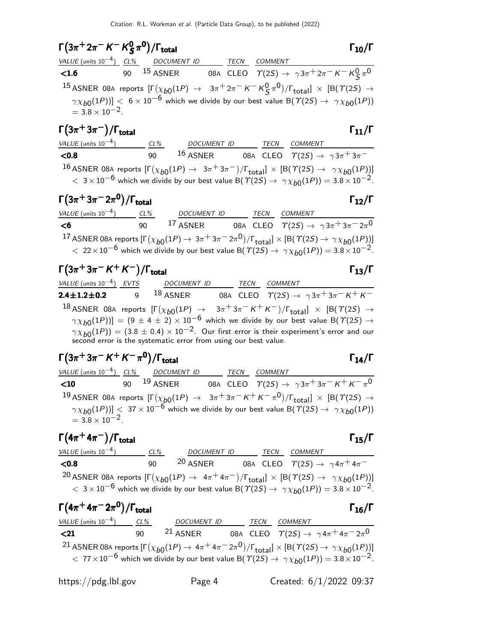### $\Gamma(3\pi^+ 2\pi^- K^- K^0_S)$  $(3\pi^+ 2\pi^- K^- K^0_S \pi^0)/\Gamma_{\text{total}}$  Γ<sub>10</sub>/Γ S  $\Gamma(3\pi^+ 2\pi^- K^- K^0_S \pi^0)/\Gamma_{\rm total}$  Γ<sub>10</sub>/Γ total and  $1\frac{10}{10}$

|                                           | VALUE (units $10^{-4}$ ) CL% DOCUMENT ID | <b>TECN</b> | COMMENT                                                                                                                                                                                                                                                                                                               |
|-------------------------------------------|------------------------------------------|-------------|-----------------------------------------------------------------------------------------------------------------------------------------------------------------------------------------------------------------------------------------------------------------------------------------------------------------------|
| < 1.6                                     |                                          |             | 90 <sup>15</sup> ASNER 08A CLEO $\Upsilon(2S) \to \gamma 3\pi^+ 2\pi^- K^- K^0_S \pi^0$                                                                                                                                                                                                                               |
|                                           |                                          |             | <sup>15</sup> ASNER 08A reports $[\Gamma(\chi_{b0}(1P) \to 3\pi^+ 2\pi^- K^- K^0 \zeta \pi^0)/\Gamma_{\text{total}}] \times [B(\Upsilon(2S) \to$<br>$\gamma \chi_{b0}(1P))$ < 6 × 10 <sup>-6</sup> which we divide by our best value B( $\gamma(2S) \rightarrow \gamma \chi_{b0}(1P)$ )<br>= 3.8 × 10 <sup>-2</sup> . |
| $\Gamma(3\pi^+3\pi^-)/\Gamma_{\rm total}$ |                                          |             | $\Gamma_{11}/\Gamma$                                                                                                                                                                                                                                                                                                  |

| VALUE (units $10^{-4}$ )                                                                                                     | $CL\%$ | <i>DOCUMENT ID</i> |  | TECN COMMENT                                             |  |
|------------------------------------------------------------------------------------------------------------------------------|--------|--------------------|--|----------------------------------------------------------|--|
| $<$ 0.8                                                                                                                      | ۹N     | $16$ ASNER         |  | 08A CLEO $\Upsilon(2S) \rightarrow \gamma 3\pi^+ 3\pi^-$ |  |
| 10 ASNER 08A reports $\Gamma(x_1, (1,0) \rightarrow 3\pi + 3\pi)$ $\Gamma$ $1 \times \Gamma$ (R(T(2S) $\rightarrow$ 2): (1P) |        |                    |  |                                                          |  |

16 ASNER 08A reports  $[\Gamma(\chi_{b0}(1P) \to 3\pi^+3\pi^-)/\Gamma_{\text{total}}] \times [B(\varUpsilon(2S) \to \gamma \chi_{b0}(1P))]$  $<$  3 × 10<sup>-6</sup> which we divide by our best value B( $\gamma$ (2S)  $\rightarrow$   $\gamma \chi_{b0}(1P)$ ) = 3.8 × 10<sup>-2</sup>.

# $\Gamma(3\pi^+3\pi^-2\pi^0)/\Gamma_{\rm total}$  Γ<sub>12</sub>/Γ

| VALUE (units $10^{-4}$ )                                                                                                                                                                                                                                                                       | CL% | <b>DOCUMENT ID</b> | TECN | COMMENT |                                                                            |
|------------------------------------------------------------------------------------------------------------------------------------------------------------------------------------------------------------------------------------------------------------------------------------------------|-----|--------------------|------|---------|----------------------------------------------------------------------------|
| $<$ 6                                                                                                                                                                                                                                                                                          | 90  | $17$ ASNER         |      |         | 08A CLEO $\Upsilon(2S) \rightarrow \gamma 3\pi + 3\pi - 2\pi$ <sup>0</sup> |
| 17 ASNER 08A reports $[\Gamma(\chi_{b0}(1P) \to 3\pi^+3\pi^-2\pi^0)/\Gamma_{\rm total}]\times [B(\Upsilon(2S) \to \gamma\chi_{b0}(1P))]$<br>$\epsilon$ 22 × 10 <sup>-6</sup> which we divide by our best value B( $\Upsilon(2S) \rightarrow \gamma \chi_{b0}(1P)$ ) = 3.8 × 10 <sup>-2</sup> . |     |                    |      |         |                                                                            |

 $\Gamma(3\pi^+3\pi^- K^+ K^-)/\Gamma_{\text{total}}$  Γ<sub>13</sub>/Γ

| VALUE (units $10^{-4}$ ) EVTS           | <i>DOCUMENT ID</i> |  | TECN COMMENT                                                                                                                                                                                                                                                            |
|-----------------------------------------|--------------------|--|-------------------------------------------------------------------------------------------------------------------------------------------------------------------------------------------------------------------------------------------------------------------------|
| 2.4 $\pm$ 1.2 $\pm$ 0.2 9 $^{18}$ Asner |                    |  | 08A CLEO $\ \ \Upsilon(2S) \rightarrow \ \ \gamma 3 \pi^+ 3 \pi^- K^+ K^-$                                                                                                                                                                                              |
|                                         |                    |  | <sup>18</sup> ASNER 08A reports $[\Gamma(\chi_{b0}(1P) \rightarrow 3\pi^+3\pi^- K^+ K^-)/\Gamma_{\rm total}] \times [B(T(2S) \rightarrow$<br>$\gamma \chi_{b0}(1P)$ ] = (9 ± 4 ± 2) × 10 <sup>-6</sup> which we divide by our best value B( $\gamma$ (2S) $\rightarrow$ |
|                                         |                    |  | $\gamma \chi_{b0}(1P)$ = (3.8 ± 0.4) × 10 <sup>-2</sup> . Our first error is their experiment's error and our second error is the systematic error from using our best value.                                                                                           |
|                                         |                    |  |                                                                                                                                                                                                                                                                         |

### $\Gamma(3\pi^+3\pi^- K^+ K^-\pi^0)/\Gamma_{\text{total}}$  Γ<sub>14</sub>/Γ )/ $\Gamma$ <sub>total</sub> Γ<sub>14</sub>/Γ

VALUE (units 10<sup>-4</sup>) CL% DOCUMENT ID TECN COMMENT **<10** 90 <sup>19</sup> ASNER 08A CLEO  $\Upsilon(2S) \rightarrow \gamma 3\pi^+ 3\pi^- K^+ K^- \pi^0$  $^{19}$  ASNER 08A reports  $[\Gamma(\chi_{b0}(1P) \to~~3\pi^+3\pi^- \,K^+ \,K^-\, \pi^0)/\Gamma_{\rm total}]\,\times\,[\text{B}(\, \Upsilon(2S) \to~\,$  $\gamma \chi_{b0}(1P))$ ] < 37 × 10<sup>-6</sup> which we divide by our best value B( $\Upsilon(2S) \rightarrow \gamma \chi_{b0}(1P)$ )  $= 3.8 \times 10^{-2}$ .

 $\Gamma(4\pi^+ 4\pi^-)/\Gamma_{\rm total}$  Γ<sub>15</sub>/Γ total and  $\overline{15/1}$ 

VALUE (units  $10^{-4}$ ) CL% 00 NUMENT ID TECN COMMENT **<0.8**  $\overline{90}$  20 ASNER 08A CLEO  $\overline{ \gamma(25) \rightarrow \gamma 4\pi^+ 4\pi^-}$  $^{20}$  ASNER 08A reports  $[\Gamma(\chi_{b0}(1P) \to 4\pi^+4\pi^-)/\Gamma_{\rm total}]\times[{\cal B}(\varUpsilon(2S) \to \ \gamma\chi_{b0}(1P))]$  $<$  3 × 10<sup>-6</sup> which we divide by our best value B( $\gamma$ (2S)  $\rightarrow$   $\gamma \chi_{b0}(1P)$ ) = 3.8 × 10<sup>-2</sup>.

| $\Gamma(4\pi^+ 4\pi^- 2\pi^0)/\Gamma_{\text{total}}$ |     |                                                                                                                                                                                                                                                                                                     |      |         | $\Gamma_{16}/\Gamma$ |
|------------------------------------------------------|-----|-----------------------------------------------------------------------------------------------------------------------------------------------------------------------------------------------------------------------------------------------------------------------------------------------------|------|---------|----------------------|
| VALUE (units $10^{-4}$ )                             | CL% | <b>DOCUMENT ID</b>                                                                                                                                                                                                                                                                                  | TECN | COMMENT |                      |
| $21$                                                 | 90  | <sup>21</sup> ASNER 08A CLEO $\Upsilon(2S) \rightarrow \gamma 4\pi^+ 4\pi^- 2\pi^0$                                                                                                                                                                                                                 |      |         |                      |
|                                                      |     | <sup>21</sup> ASNER 08A reports $[\Gamma(\chi_{b0}(1P) \to 4\pi^+ 4\pi^- 2\pi^0)/\Gamma_{\text{total}}] \times [B(\Upsilon(2S) \to \gamma \chi_{b0}(1P))]$<br>$< 77 \times 10^{-6}$ which we divide by our best value B( $\Upsilon(2S) \rightarrow \gamma \chi_{b0}(1P)$ ) = 3.8 $\times 10^{-2}$ . |      |         |                      |
|                                                      |     |                                                                                                                                                                                                                                                                                                     |      |         |                      |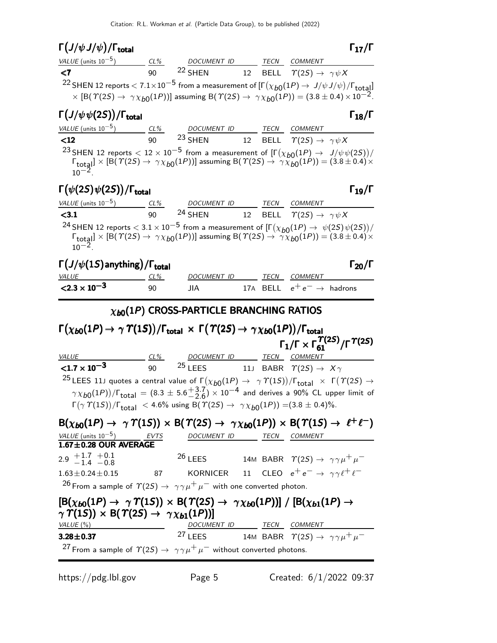## Γ $(J/\psi J/\psi)/\Gamma_{\rm total}$  Γ<sub>17</sub>/Γ

| VALUE (units $10^{-5}$ )                                                                                                                                                                                                                                                                | $CL\%$ | DOCUMENT ID TECN COMMENT                                                                                                                                       |                     |         |                      |
|-----------------------------------------------------------------------------------------------------------------------------------------------------------------------------------------------------------------------------------------------------------------------------------------|--------|----------------------------------------------------------------------------------------------------------------------------------------------------------------|---------------------|---------|----------------------|
| $\leq$ 7                                                                                                                                                                                                                                                                                | 90     | <sup>22</sup> SHEN 12 BELL $\Upsilon(2S) \rightarrow \gamma \psi X$                                                                                            |                     |         |                      |
| <sup>22</sup> SHEN 12 reports $< 7.1 \times 10^{-5}$ from a measurement of $[\Gamma(\chi_{b0}(1P) \to J/\psi J/\psi)/\Gamma_{\rm total}]$                                                                                                                                               |        | $\times$ [B( $\Upsilon(2S) \rightarrow \gamma \chi_{b0}(1P)$ )] assuming B( $\Upsilon(2S) \rightarrow \gamma \chi_{b0}(1P)$ ) = (3.8 ± 0.4) $\times 10^{-2}$ . |                     |         |                      |
| $\Gamma\big(J/\psi\,\psi(2S)\big)/\Gamma_{\rm total}$                                                                                                                                                                                                                                   |        |                                                                                                                                                                |                     |         | $\Gamma_{18}/\Gamma$ |
| $VALUE$ (units $10^{-5}$ ) $CL\%$ DOCUMENT ID TECN COMMENT                                                                                                                                                                                                                              |        |                                                                                                                                                                |                     |         |                      |
| $12$                                                                                                                                                                                                                                                                                    | 90     | <sup>23</sup> SHEN 12 BELL $\Upsilon(2S) \rightarrow \gamma \psi X$                                                                                            |                     |         |                      |
| <sup>23</sup> SHEN 12 reports $< 12 \times 10^{-5}$ from a measurement of $[\Gamma(\chi_{b0}(1P) \to J/\psi \psi(2S))/\Gamma_{\text{total}}] \times [B(\Upsilon(2S) \to \gamma \chi_{b0}(1P))]$ assuming $B(\Upsilon(2S) \to \gamma \chi_{b0}(1P)) = (3.8 \pm 0.4) \times$<br>$10^{-2}$ |        |                                                                                                                                                                |                     |         |                      |
| $\Gamma(\psi(2S)\psi(2S)) / \Gamma_{\rm total}$                                                                                                                                                                                                                                         |        |                                                                                                                                                                |                     |         | $\Gamma_{19}/\Gamma$ |
| VALUE (units $10^{-5}$ ) CL%                                                                                                                                                                                                                                                            |        | DOCUMENT ID TECN                                                                                                                                               |                     | COMMENT |                      |
| < 3.1                                                                                                                                                                                                                                                                                   | 90     | <sup>24</sup> SHEN 12 BELL $\Upsilon(2S) \rightarrow \gamma \psi X$                                                                                            |                     |         |                      |
| <sup>24</sup> SHEN 12 reports $< 3.1 \times 10^{-5}$ from a measurement of $[\Gamma(\chi_{b0}(1P) \to \psi(2S)\psi(2S))]$<br>$\mathbf{F} \cap \mathbf{A}$                                                                                                                               |        | $(1 - 2)$                                                                                                                                                      | $\sim$ $(0.000000)$ |         |                      |

 $\Gamma_{\text{total}} \rightarrow [\text{B}(\text{T}(2S) \rightarrow \text{T} \chi_{b0}(1P))]$  assuming  $\text{B}(\text{T}(2S) \rightarrow \text{T} \chi_{b0}(1P)) = (3.8 \pm 0.4) \times$  $10^{-2}$ .

| $\Gamma\left(J/\psi(1S)\right)$ anything) / $\Gamma\left(J/\psi(1S)\right)$ |        |             |  |      |                                       | $\Gamma_{20}/\Gamma$ |
|-----------------------------------------------------------------------------|--------|-------------|--|------|---------------------------------------|----------------------|
| <i>VALUE</i>                                                                | $CL\%$ | DOCUMENT ID |  | TECN | <i>COMMENT</i>                        |                      |
| $\langle 2.3 \times 10^{-3} \rangle$                                        | ۹N     | JIA.        |  |      | 17A BELL $e^+e^- \rightarrow$ hadrons |                      |

## $\chi_{b0}(1P)$  CROSS-PARTICLE BRANCHING RATIOS

| $\Gamma(\chi_{\bm{b0}}(1P) \rightarrow \gamma \varUpsilon(1S))/\Gamma_{\bm{\mathsf{total}}} \times \Gamma(\varUpsilon(2S) \rightarrow \gamma \chi_{\bm{b0}}(1P))/\Gamma_{\bm{\mathsf{total}}}$                                                                                          |                                     |  |                                                                                                                                      |
|-----------------------------------------------------------------------------------------------------------------------------------------------------------------------------------------------------------------------------------------------------------------------------------------|-------------------------------------|--|--------------------------------------------------------------------------------------------------------------------------------------|
|                                                                                                                                                                                                                                                                                         |                                     |  | $\Gamma_1/\Gamma \times \Gamma_{61}^{T(25)}/\Gamma^{T(25)}$                                                                          |
| <b>VALUE</b>                                                                                                                                                                                                                                                                            | <u>CL% DOCUMENT ID TECN COMMENT</u> |  |                                                                                                                                      |
| <b>&lt;1.7 x 10<sup>-3</sup></b> 90 <sup>25</sup> LEES 11J BABR $\Upsilon(2S) \to X\gamma$                                                                                                                                                                                              |                                     |  |                                                                                                                                      |
| <sup>25</sup> LEES 11J quotes a central value of $\Gamma(\chi_{b0}(1P) \to \gamma \Upsilon(1S))/\Gamma_{\text{total}} \times \Gamma(\Upsilon(2S) \to$                                                                                                                                   |                                     |  |                                                                                                                                      |
|                                                                                                                                                                                                                                                                                         |                                     |  | $\gamma \chi_{b0}(1P)$ / $\Gamma_{\text{total}} = (8.3 \pm 5.6 \frac{+3.7}{2.6}) \times 10^{-4}$ and derives a 90% CL upper limit of |
| $\Gamma(\gamma \Upsilon(1S))/\Gamma_{\text{total}} < 4.6\%$ using B( $\Upsilon(2S) \rightarrow \gamma \chi_{b0}(1P)$ ) = (3.8 ± 0.4)%.                                                                                                                                                  |                                     |  |                                                                                                                                      |
| $B(\chi_{b0}(1P) \to \gamma \Upsilon(1S)) \times B(\Upsilon(2S) \to \gamma \chi_{b0}(1P)) \times B(\Upsilon(1S) \to \ell^+ \ell^-)$                                                                                                                                                     |                                     |  |                                                                                                                                      |
| VALUE (units $10^{-5}$ ) EVTS                                                                                                                                                                                                                                                           | DOCUMENT ID TECN COMMENT            |  |                                                                                                                                      |
| $1.67 \pm 0.28$ OUR AVERAGE                                                                                                                                                                                                                                                             |                                     |  |                                                                                                                                      |
| 2.9 $+1.7$ $+0.1$<br>$-1.4$ $-0.8$                                                                                                                                                                                                                                                      |                                     |  | 26 LEES 14M BABR $\Upsilon(2S) \rightarrow \gamma \gamma \mu^+ \mu^-$                                                                |
| $1.63 \pm 0.24 \pm 0.15$                                                                                                                                                                                                                                                                |                                     |  | 87 KORNICER 11 CLEO $e^+e^- \rightarrow \gamma \gamma \ell^+ \ell^-$                                                                 |
| <sup>26</sup> From a sample of $\Upsilon(2S) \rightarrow \gamma \gamma \mu^+ \mu^-$ with one converted photon.                                                                                                                                                                          |                                     |  |                                                                                                                                      |
| $\left[\mathsf{B}(\chi_{b0}(1P) \to \gamma \Upsilon(1S)) \times \mathsf{B}(\Upsilon(2S) \to \gamma \chi_{b0}(1P))\right] / \left[\mathsf{B}(\chi_{b1}(1P) \to \gamma \chi_{b0}(1P))\right]$<br>$\gamma \Upsilon(15)$ $\times$ B( $\Upsilon(25)$ $\rightarrow$ $\gamma \chi_{b1}(1P)$ )] |                                     |  |                                                                                                                                      |
| VALUE (%)                                                                                                                                                                                                                                                                               | DOCUMENT ID TECN COMMENT            |  |                                                                                                                                      |
| $3.28 \pm 0.37$                                                                                                                                                                                                                                                                         |                                     |  | <sup>27</sup> LEES 14M BABR $\Upsilon(2S) \rightarrow \gamma \gamma \mu^{+} \mu^{-}$                                                 |
| <sup>27</sup> From a sample of $\Upsilon(2S) \rightarrow \gamma \gamma \mu^+ \mu^-$ without converted photons.                                                                                                                                                                          |                                     |  |                                                                                                                                      |